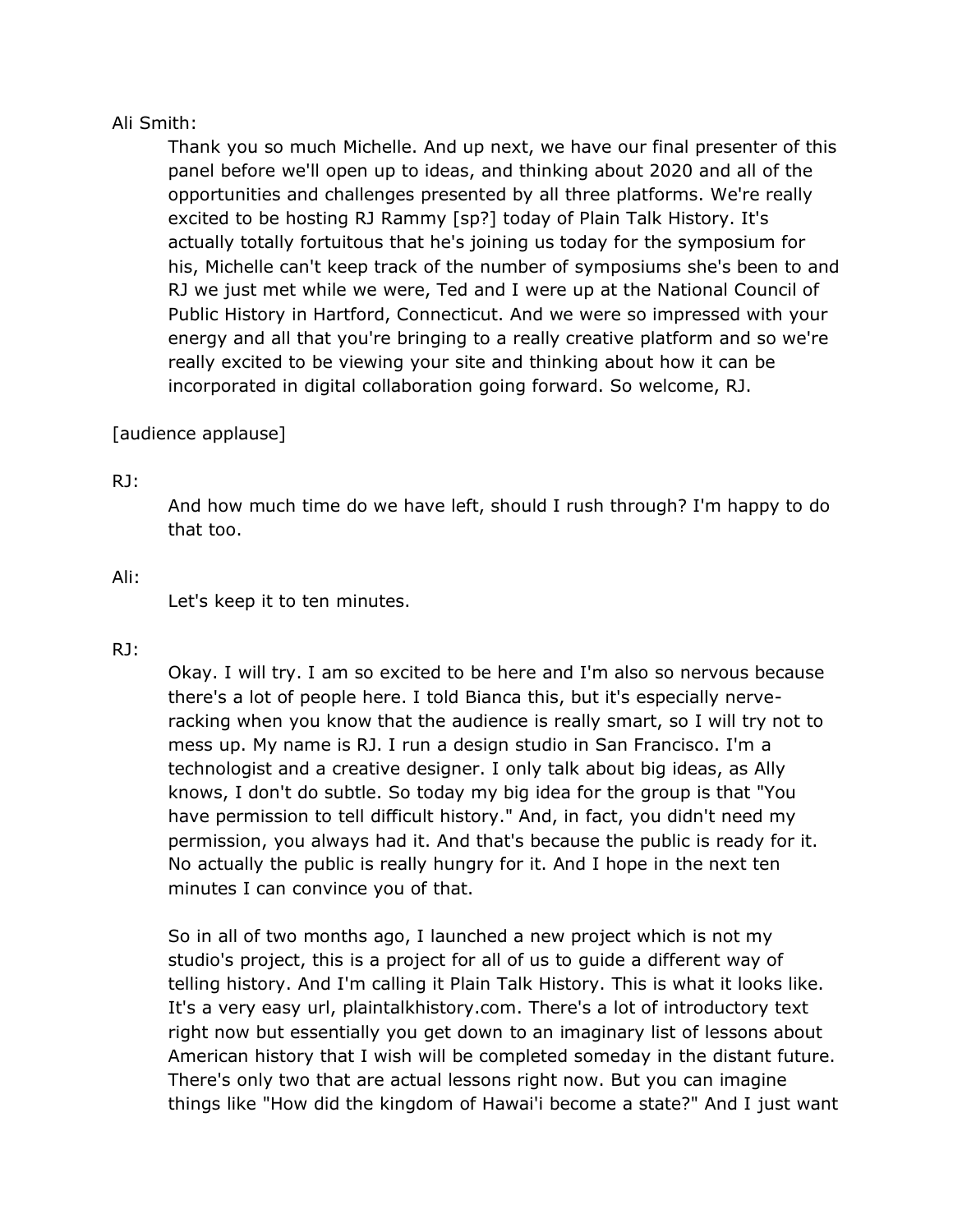## Ali Smith:

Thank you so much Michelle. And up next, we have our final presenter of this panel before we'll open up to ideas, and thinking about 2020 and all of the opportunities and challenges presented by all three platforms. We're really excited to be hosting RJ Rammy [sp?] today of Plain Talk History. It's actually totally fortuitous that he's joining us today for the symposium for his, Michelle can't keep track of the number of symposiums she's been to and RJ we just met while we were, Ted and I were up at the National Council of Public History in Hartford, Connecticut. And we were so impressed with your energy and all that you're bringing to a really creative platform and so we're really excited to be viewing your site and thinking about how it can be incorporated in digital collaboration going forward. So welcome, RJ.

# [audience applause]

## RJ:

And how much time do we have left, should I rush through? I'm happy to do that too.

## Ali:

Let's keep it to ten minutes.

## RJ:

Okay. I will try. I am so excited to be here and I'm also so nervous because there's a lot of people here. I told Bianca this, but it's especially nerveracking when you know that the audience is really smart, so I will try not to mess up. My name is RJ. I run a design studio in San Francisco. I'm a technologist and a creative designer. I only talk about big ideas, as Ally knows, I don't do subtle. So today my big idea for the group is that "You have permission to tell difficult history." And, in fact, you didn't need my permission, you always had it. And that's because the public is ready for it. No actually the public is really hungry for it. And I hope in the next ten minutes I can convince you of that.

So in all of two months ago, I launched a new project which is not my studio's project, this is a project for all of us to guide a different way of telling history. And I'm calling it Plain Talk History. This is what it looks like. It's a very easy url, plaintalkhistory.com. There's a lot of introductory text right now but essentially you get down to an imaginary list of lessons about American history that I wish will be completed someday in the distant future. There's only two that are actual lessons right now. But you can imagine things like "How did the kingdom of Hawai'i become a state?" And I just want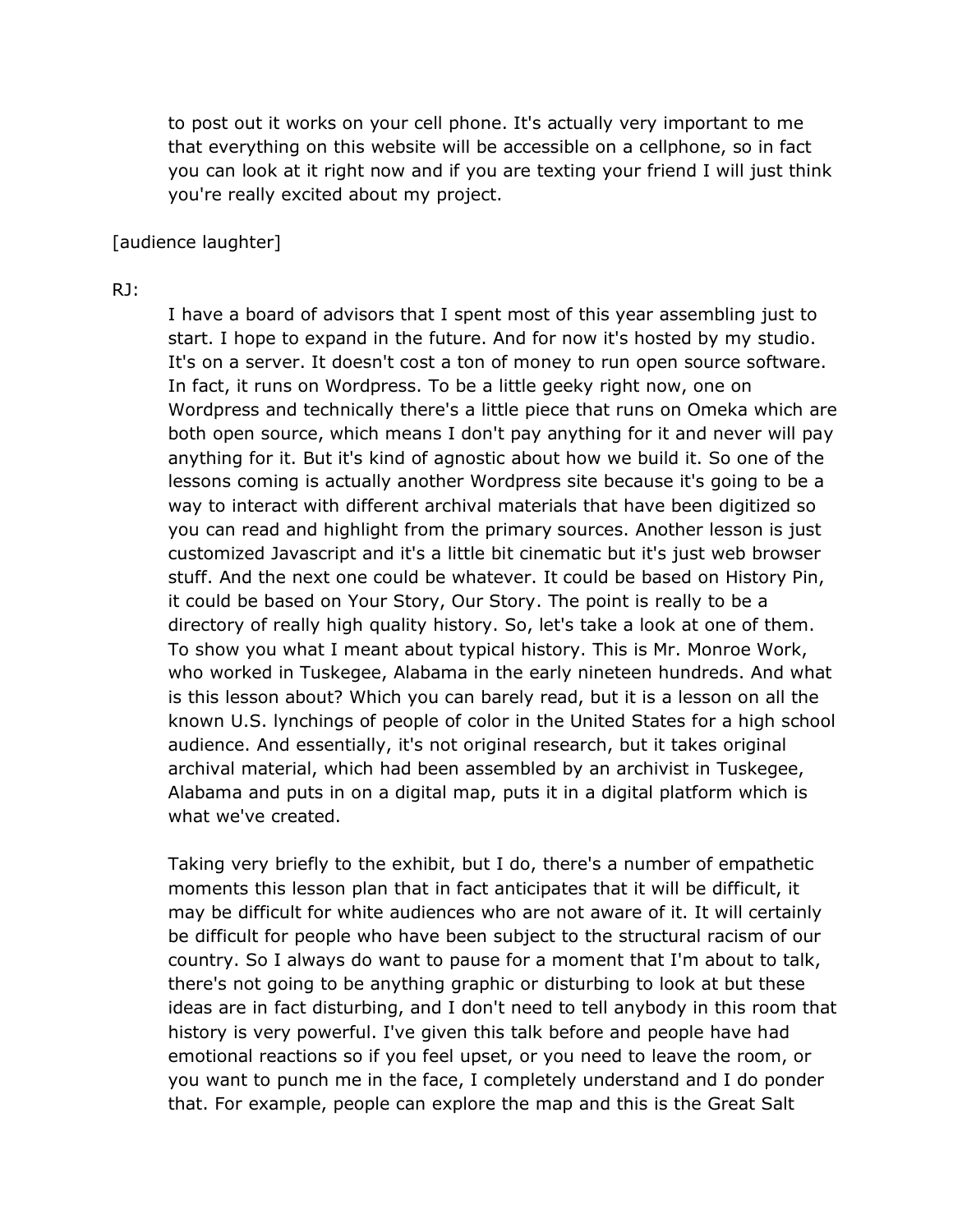to post out it works on your cell phone. It's actually very important to me that everything on this website will be accessible on a cellphone, so in fact you can look at it right now and if you are texting your friend I will just think you're really excited about my project.

#### [audience laughter]

#### RJ:

I have a board of advisors that I spent most of this year assembling just to start. I hope to expand in the future. And for now it's hosted by my studio. It's on a server. It doesn't cost a ton of money to run open source software. In fact, it runs on Wordpress. To be a little geeky right now, one on Wordpress and technically there's a little piece that runs on Omeka which are both open source, which means I don't pay anything for it and never will pay anything for it. But it's kind of agnostic about how we build it. So one of the lessons coming is actually another Wordpress site because it's going to be a way to interact with different archival materials that have been digitized so you can read and highlight from the primary sources. Another lesson is just customized Javascript and it's a little bit cinematic but it's just web browser stuff. And the next one could be whatever. It could be based on History Pin, it could be based on Your Story, Our Story. The point is really to be a directory of really high quality history. So, let's take a look at one of them. To show you what I meant about typical history. This is Mr. Monroe Work, who worked in Tuskegee, Alabama in the early nineteen hundreds. And what is this lesson about? Which you can barely read, but it is a lesson on all the known U.S. lynchings of people of color in the United States for a high school audience. And essentially, it's not original research, but it takes original archival material, which had been assembled by an archivist in Tuskegee, Alabama and puts in on a digital map, puts it in a digital platform which is what we've created.

Taking very briefly to the exhibit, but I do, there's a number of empathetic moments this lesson plan that in fact anticipates that it will be difficult, it may be difficult for white audiences who are not aware of it. It will certainly be difficult for people who have been subject to the structural racism of our country. So I always do want to pause for a moment that I'm about to talk, there's not going to be anything graphic or disturbing to look at but these ideas are in fact disturbing, and I don't need to tell anybody in this room that history is very powerful. I've given this talk before and people have had emotional reactions so if you feel upset, or you need to leave the room, or you want to punch me in the face, I completely understand and I do ponder that. For example, people can explore the map and this is the Great Salt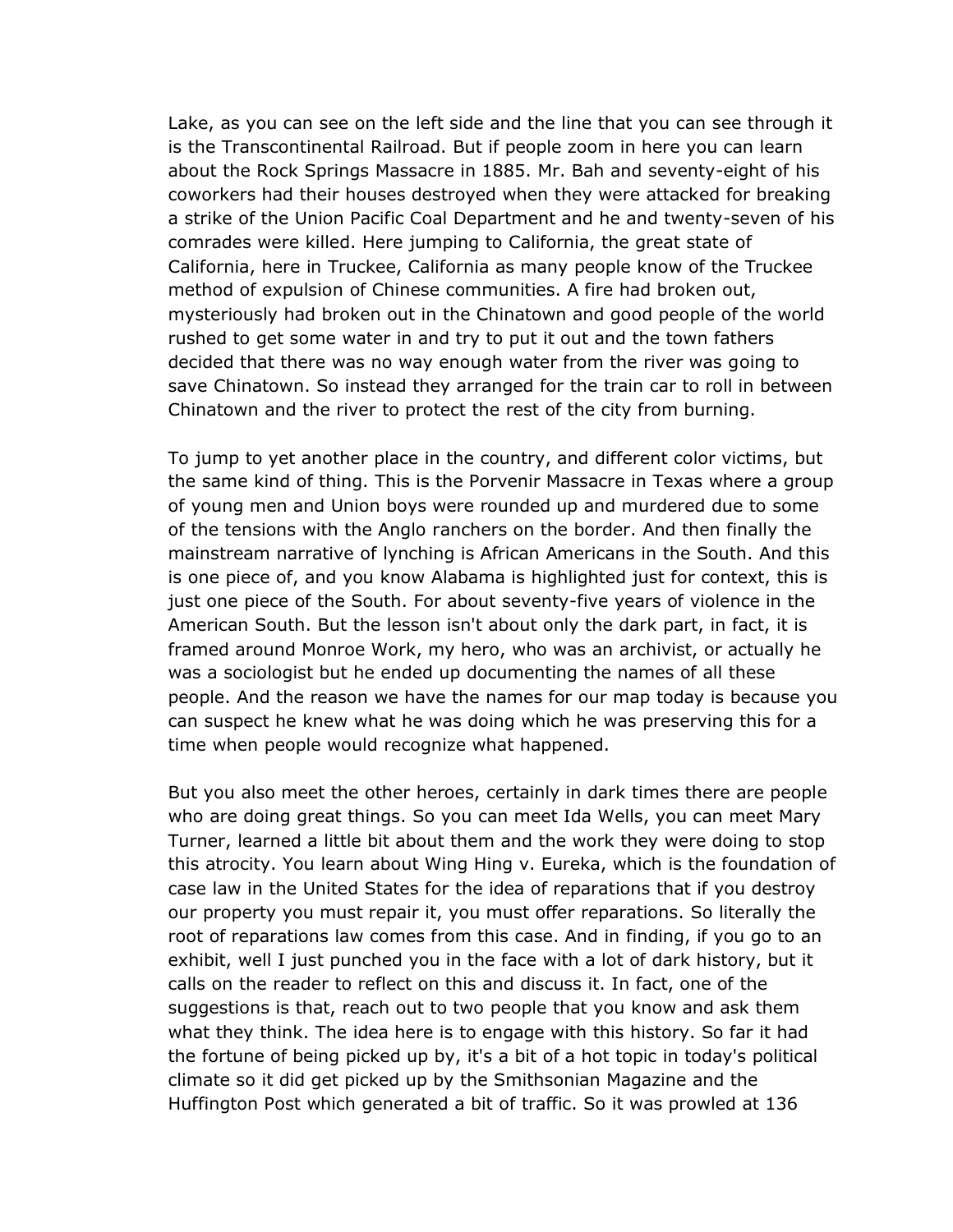Lake, as you can see on the left side and the line that you can see through it is the Transcontinental Railroad. But if people zoom in here you can learn about the Rock Springs Massacre in 1885. Mr. Bah and seventy-eight of his coworkers had their houses destroyed when they were attacked for breaking a strike of the Union Pacific Coal Department and he and twenty-seven of his comrades were killed. Here jumping to California, the great state of California, here in Truckee, California as many people know of the Truckee method of expulsion of Chinese communities. A fire had broken out, mysteriously had broken out in the Chinatown and good people of the world rushed to get some water in and try to put it out and the town fathers decided that there was no way enough water from the river was going to save Chinatown. So instead they arranged for the train car to roll in between Chinatown and the river to protect the rest of the city from burning.

To jump to yet another place in the country, and different color victims, but the same kind of thing. This is the Porvenir Massacre in Texas where a group of young men and Union boys were rounded up and murdered due to some of the tensions with the Anglo ranchers on the border. And then finally the mainstream narrative of lynching is African Americans in the South. And this is one piece of, and you know Alabama is highlighted just for context, this is just one piece of the South. For about seventy-five years of violence in the American South. But the lesson isn't about only the dark part, in fact, it is framed around Monroe Work, my hero, who was an archivist, or actually he was a sociologist but he ended up documenting the names of all these people. And the reason we have the names for our map today is because you can suspect he knew what he was doing which he was preserving this for a time when people would recognize what happened.

But you also meet the other heroes, certainly in dark times there are people who are doing great things. So you can meet Ida Wells, you can meet Mary Turner, learned a little bit about them and the work they were doing to stop this atrocity. You learn about Wing Hing v. Eureka, which is the foundation of case law in the United States for the idea of reparations that if you destroy our property you must repair it, you must offer reparations. So literally the root of reparations law comes from this case. And in finding, if you go to an exhibit, well I just punched you in the face with a lot of dark history, but it calls on the reader to reflect on this and discuss it. In fact, one of the suggestions is that, reach out to two people that you know and ask them what they think. The idea here is to engage with this history. So far it had the fortune of being picked up by, it's a bit of a hot topic in today's political climate so it did get picked up by the Smithsonian Magazine and the Huffington Post which generated a bit of traffic. So it was prowled at 136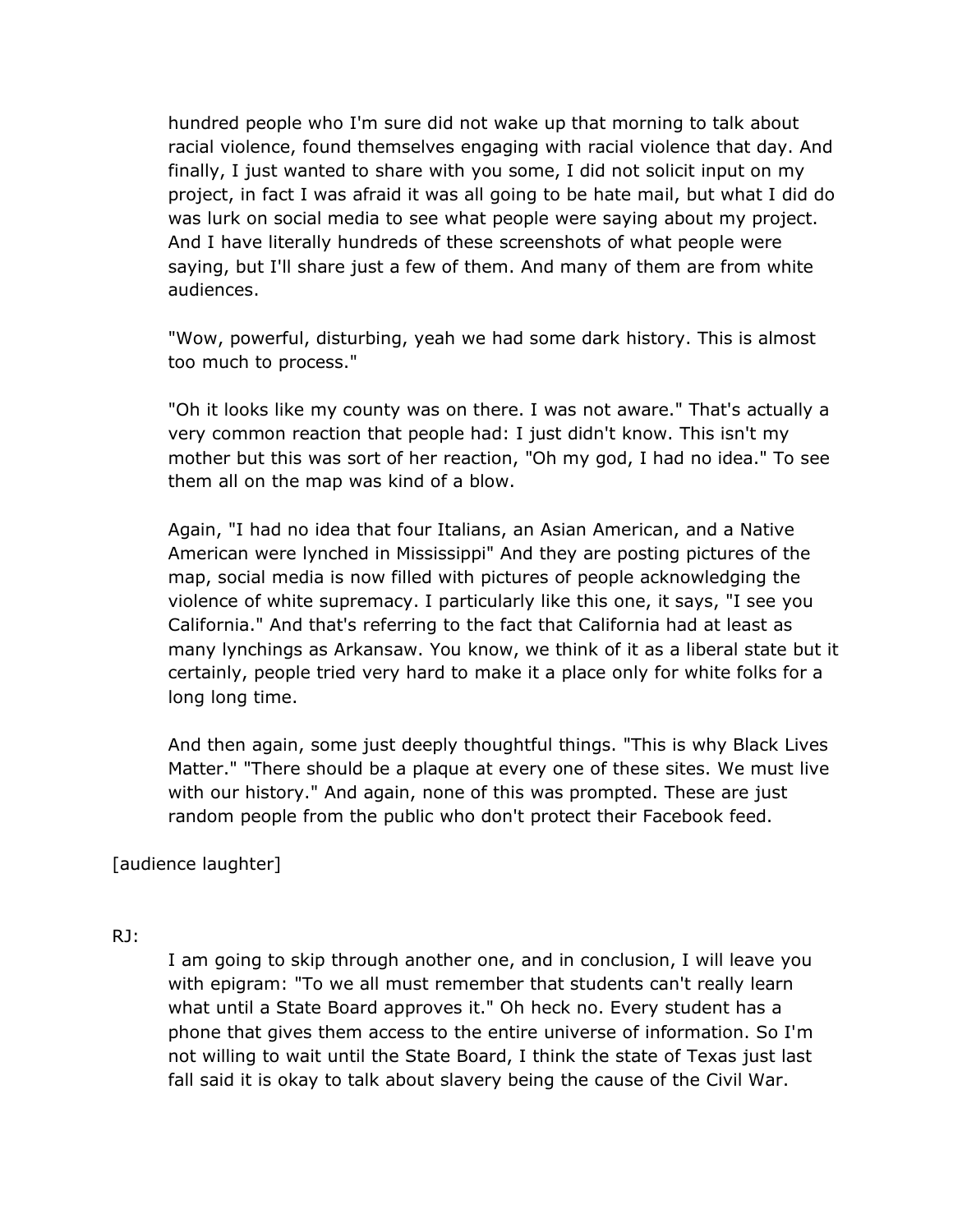hundred people who I'm sure did not wake up that morning to talk about racial violence, found themselves engaging with racial violence that day. And finally, I just wanted to share with you some, I did not solicit input on my project, in fact I was afraid it was all going to be hate mail, but what I did do was lurk on social media to see what people were saying about my project. And I have literally hundreds of these screenshots of what people were saying, but I'll share just a few of them. And many of them are from white audiences.

"Wow, powerful, disturbing, yeah we had some dark history. This is almost too much to process."

"Oh it looks like my county was on there. I was not aware." That's actually a very common reaction that people had: I just didn't know. This isn't my mother but this was sort of her reaction, "Oh my god, I had no idea." To see them all on the map was kind of a blow.

Again, "I had no idea that four Italians, an Asian American, and a Native American were lynched in Mississippi" And they are posting pictures of the map, social media is now filled with pictures of people acknowledging the violence of white supremacy. I particularly like this one, it says, "I see you California." And that's referring to the fact that California had at least as many lynchings as Arkansaw. You know, we think of it as a liberal state but it certainly, people tried very hard to make it a place only for white folks for a long long time.

And then again, some just deeply thoughtful things. "This is why Black Lives Matter." "There should be a plaque at every one of these sites. We must live with our history." And again, none of this was prompted. These are just random people from the public who don't protect their Facebook feed.

[audience laughter]

## RJ:

I am going to skip through another one, and in conclusion, I will leave you with epigram: "To we all must remember that students can't really learn what until a State Board approves it." Oh heck no. Every student has a phone that gives them access to the entire universe of information. So I'm not willing to wait until the State Board, I think the state of Texas just last fall said it is okay to talk about slavery being the cause of the Civil War.